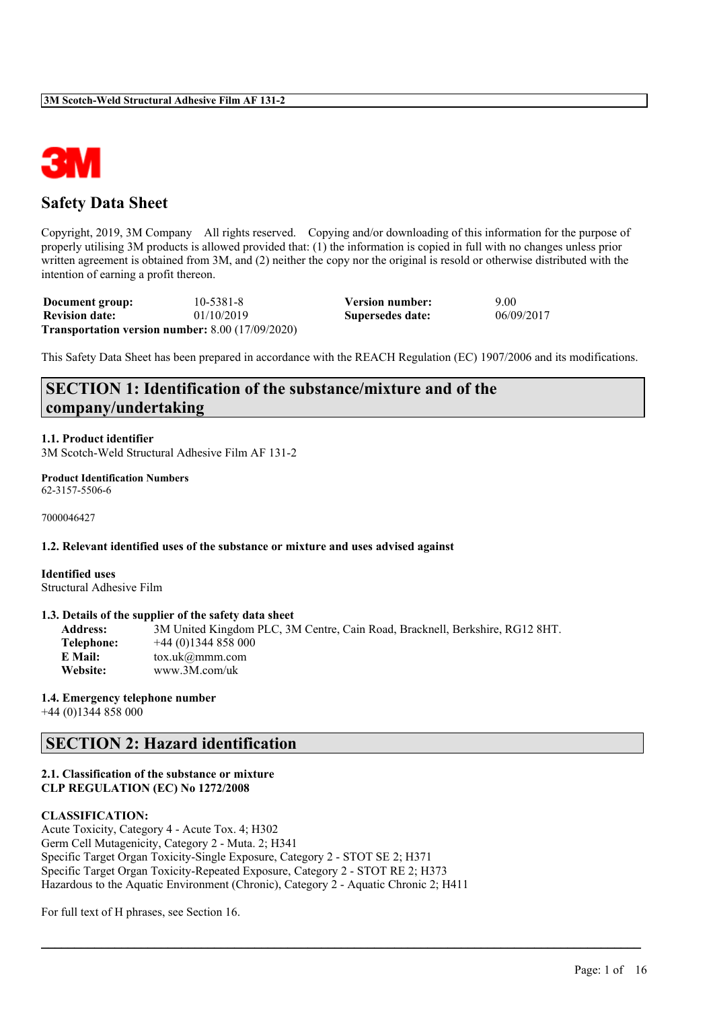

# **Safety Data Sheet**

Copyright, 2019, 3M Company All rights reserved. Copying and/or downloading of this information for the purpose of properly utilising 3M products is allowed provided that: (1) the information is copied in full with no changes unless prior written agreement is obtained from 3M, and (2) neither the copy nor the original is resold or otherwise distributed with the intention of earning a profit thereon.

| Document group:       | $10 - 5381 - 8$                                           | <b>Version number:</b> | 9.00       |
|-----------------------|-----------------------------------------------------------|------------------------|------------|
| <b>Revision date:</b> | 01/10/2019                                                | Supersedes date:       | 06/09/2017 |
|                       | <b>Transportation version number:</b> $8.00$ (17/09/2020) |                        |            |

This Safety Data Sheet has been prepared in accordance with the REACH Regulation (EC) 1907/2006 and its modifications.

# **SECTION 1: Identification of the substance/mixture and of the company/undertaking**

### **1.1. Product identifier**

3M Scotch-Weld Structural Adhesive Film AF 131-2

**Product Identification Numbers** 62-3157-5506-6

7000046427

# **1.2. Relevant identified uses of the substance or mixture and uses advised against**

**Identified uses** Structural Adhesive Film

#### **1.3. Details of the supplier of the safety data sheet**

| 3M United Kingdom PLC, 3M Centre, Cain Road, Bracknell, Berkshire, RG12 8HT. |
|------------------------------------------------------------------------------|
| $+44(0)1344858000$                                                           |
| $\text{tox.uk}(\alpha \text{mmm.com})$                                       |
| www.3M.com/uk                                                                |
|                                                                              |

 $\mathcal{L}_\mathcal{L} = \mathcal{L}_\mathcal{L} = \mathcal{L}_\mathcal{L} = \mathcal{L}_\mathcal{L} = \mathcal{L}_\mathcal{L} = \mathcal{L}_\mathcal{L} = \mathcal{L}_\mathcal{L} = \mathcal{L}_\mathcal{L} = \mathcal{L}_\mathcal{L} = \mathcal{L}_\mathcal{L} = \mathcal{L}_\mathcal{L} = \mathcal{L}_\mathcal{L} = \mathcal{L}_\mathcal{L} = \mathcal{L}_\mathcal{L} = \mathcal{L}_\mathcal{L} = \mathcal{L}_\mathcal{L} = \mathcal{L}_\mathcal{L}$ 

#### **1.4. Emergency telephone number**

+44 (0)1344 858 000

# **SECTION 2: Hazard identification**

### **2.1. Classification of the substance or mixture CLP REGULATION (EC) No 1272/2008**

### **CLASSIFICATION:**

Acute Toxicity, Category 4 - Acute Tox. 4; H302 Germ Cell Mutagenicity, Category 2 - Muta. 2; H341 Specific Target Organ Toxicity-Single Exposure, Category 2 - STOT SE 2; H371 Specific Target Organ Toxicity-Repeated Exposure, Category 2 - STOT RE 2; H373 Hazardous to the Aquatic Environment (Chronic), Category 2 - Aquatic Chronic 2; H411

For full text of H phrases, see Section 16.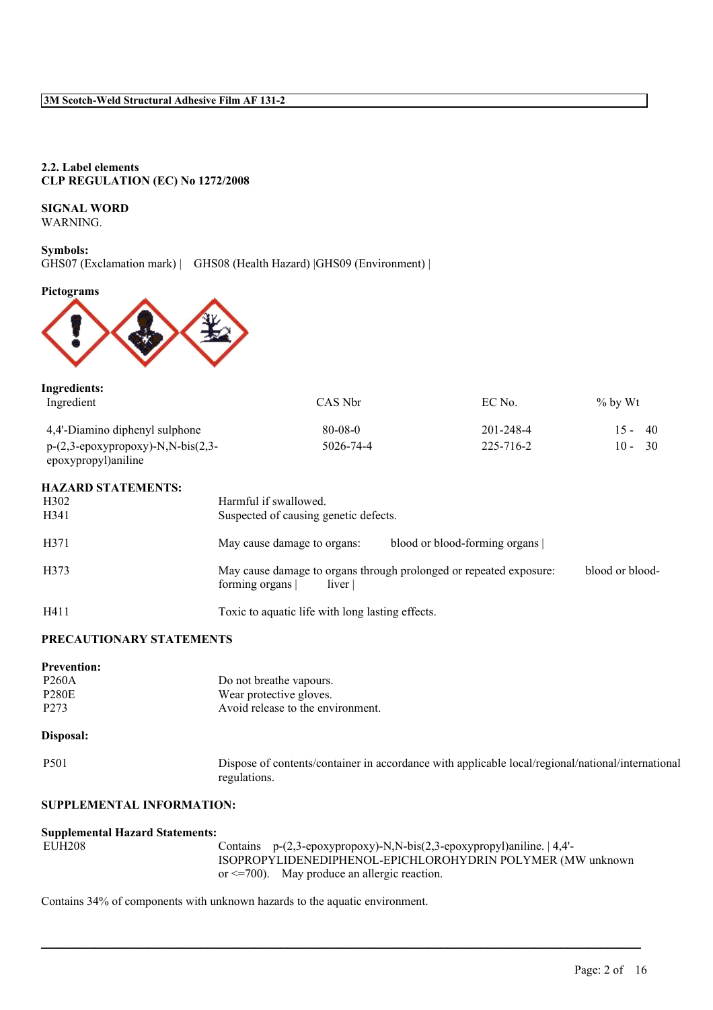### **2.2. Label elements CLP REGULATION (EC) No 1272/2008**

# **SIGNAL WORD**

WARNING.

# **Symbols:**

GHS07 (Exclamation mark) | GHS08 (Health Hazard) |GHS09 (Environment) |

# **Pictograms**



| Ingredients:                                                                            |               |           |            |
|-----------------------------------------------------------------------------------------|---------------|-----------|------------|
| Ingredient                                                                              | CAS Nbr       | EC No.    | $\%$ by Wt |
| 4,4'-Diamino diphenyl sulphone                                                          | $80 - 08 - 0$ | 201-248-4 | $15 - 40$  |
| $p-(2,3-\epsilon p\alpha xyprop\alpha xy)-N,N-bis(2,3-\epsilon)$<br>epoxypropyl)aniline | 5026-74-4     | 225-716-2 | $10 - 30$  |

# **HAZARD STATEMENTS:**

| H <sub>3</sub> 02<br>H341 | Harmful if swallowed.<br>Suspected of causing genetic defects.                                                     |
|---------------------------|--------------------------------------------------------------------------------------------------------------------|
| H371                      | blood or blood-forming organs<br>May cause damage to organs:                                                       |
| H373                      | May cause damage to organs through prolonged or repeated exposure:<br>blood or blood-<br>liver  <br>forming organs |
| H411                      | Toxic to aquatic life with long lasting effects.                                                                   |

# **PRECAUTIONARY STATEMENTS**

| <b>Prevention:</b> |                                   |
|--------------------|-----------------------------------|
| P <sub>260</sub> A | Do not breathe vapours.           |
| <b>P280E</b>       | Wear protective gloves.           |
| P <sub>273</sub>   | Avoid release to the environment. |

### **Disposal:**

P501 Dispose of contents/container in accordance with applicable local/regional/national/international regulations.

### **SUPPLEMENTAL INFORMATION:**

| <b>Supplemental Hazard Statements:</b> |                                                                                      |
|----------------------------------------|--------------------------------------------------------------------------------------|
| EUH208                                 | Contains $p-(2,3-\epsilon p0xy) - N$ , $N-bis(2,3-\epsilon p0xy)$ proves and $q-4$ . |
|                                        | ISOPROPYLIDENEDIPHENOL-EPICHLOROHYDRIN POLYMER (MW unknown                           |
|                                        | or $\leq$ =700). May produce an allergic reaction.                                   |

 $\mathcal{L}_\mathcal{L} = \mathcal{L}_\mathcal{L} = \mathcal{L}_\mathcal{L} = \mathcal{L}_\mathcal{L} = \mathcal{L}_\mathcal{L} = \mathcal{L}_\mathcal{L} = \mathcal{L}_\mathcal{L} = \mathcal{L}_\mathcal{L} = \mathcal{L}_\mathcal{L} = \mathcal{L}_\mathcal{L} = \mathcal{L}_\mathcal{L} = \mathcal{L}_\mathcal{L} = \mathcal{L}_\mathcal{L} = \mathcal{L}_\mathcal{L} = \mathcal{L}_\mathcal{L} = \mathcal{L}_\mathcal{L} = \mathcal{L}_\mathcal{L}$ 

Contains 34% of components with unknown hazards to the aquatic environment.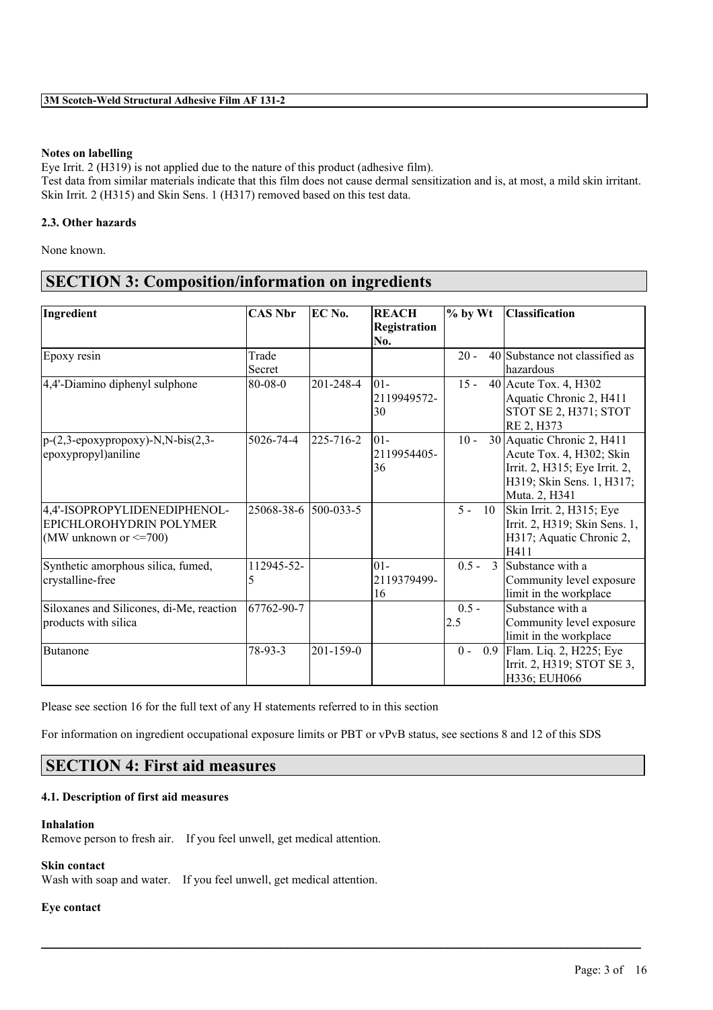# **Notes on labelling**

Eye Irrit. 2 (H319) is not applied due to the nature of this product (adhesive film). Test data from similar materials indicate that this film does not cause dermal sensitization and is, at most, a mild skin irritant. Skin Irrit. 2 (H315) and Skin Sens. 1 (H317) removed based on this test data.

# **2.3. Other hazards**

None known.

# **SECTION 3: Composition/information on ingredients**

| Ingredient                                                          | <b>CAS Nbr</b>       | EC No.    | <b>REACH</b> | $%$ by Wt                | <b>Classification</b>          |
|---------------------------------------------------------------------|----------------------|-----------|--------------|--------------------------|--------------------------------|
|                                                                     |                      |           | Registration |                          |                                |
|                                                                     |                      |           | No.          |                          |                                |
| Epoxy resin                                                         | Trade                |           |              | $20 -$                   | 40 Substance not classified as |
|                                                                     | Secret               |           |              |                          | hazardous                      |
| 4,4'-Diamino diphenyl sulphone                                      | $80 - 08 - 0$        | 201-248-4 | $ 01 -$      | $15 -$                   | 40 Acute Tox. 4, H302          |
|                                                                     |                      |           | 2119949572-  |                          | Aquatic Chronic 2, H411        |
|                                                                     |                      |           | 30           |                          | STOT SE 2, H371; STOT          |
|                                                                     |                      |           |              |                          | RE 2, H373                     |
| $p-(2,3-\epsilon poxypropoxy)-N,N-bis(2,3-\epsilon poxypropoxy)-N,$ | 5026-74-4            | 225-716-2 | $ 01-$       | $10 -$                   | 30 Aquatic Chronic 2, H411     |
| epoxypropyl)aniline                                                 |                      |           | 2119954405-  |                          | Acute Tox. 4, H302; Skin       |
|                                                                     |                      |           | 36           |                          | Irrit. 2, H315; Eye Irrit. 2,  |
|                                                                     |                      |           |              |                          | H319; Skin Sens. 1, H317;      |
|                                                                     |                      |           |              |                          | Muta. 2, H341                  |
| 4,4'-ISOPROPYLIDENEDIPHENOL-                                        | 25068-38-6 500-033-5 |           |              | $5 -$<br>10              | Skin Irrit. 2, H315; Eye       |
| <b>EPICHLOROHYDRIN POLYMER</b>                                      |                      |           |              |                          | Irrit. 2, H319; Skin Sens. 1,  |
| (MW unknown or $\leq$ =700)                                         |                      |           |              |                          | H317; Aquatic Chronic 2,       |
|                                                                     |                      |           |              |                          | H411                           |
| Synthetic amorphous silica, fumed,                                  | 112945-52-           |           | $01 -$       | $0.5 -$<br>$\mathcal{E}$ | Substance with a               |
| crystalline-free                                                    | 5                    |           | 2119379499-  |                          | Community level exposure       |
|                                                                     |                      |           | 16           |                          | limit in the workplace         |
| Siloxanes and Silicones, di-Me, reaction                            | 67762-90-7           |           |              | $0.5 -$                  | Substance with a               |
| products with silica                                                |                      |           |              | 2.5                      | Community level exposure       |
|                                                                     |                      |           |              |                          | limit in the workplace         |
| <b>Butanone</b>                                                     | 78-93-3              | 201-159-0 |              | $0 -$                    | 0.9 Flam. Liq. 2, H225; Eye    |
|                                                                     |                      |           |              |                          | Irrit. 2, H319; STOT SE 3,     |
|                                                                     |                      |           |              |                          | H336; EUH066                   |

Please see section 16 for the full text of any H statements referred to in this section

For information on ingredient occupational exposure limits or PBT or vPvB status, see sections 8 and 12 of this SDS

 $\mathcal{L}_\mathcal{L} = \mathcal{L}_\mathcal{L} = \mathcal{L}_\mathcal{L} = \mathcal{L}_\mathcal{L} = \mathcal{L}_\mathcal{L} = \mathcal{L}_\mathcal{L} = \mathcal{L}_\mathcal{L} = \mathcal{L}_\mathcal{L} = \mathcal{L}_\mathcal{L} = \mathcal{L}_\mathcal{L} = \mathcal{L}_\mathcal{L} = \mathcal{L}_\mathcal{L} = \mathcal{L}_\mathcal{L} = \mathcal{L}_\mathcal{L} = \mathcal{L}_\mathcal{L} = \mathcal{L}_\mathcal{L} = \mathcal{L}_\mathcal{L}$ 

# **SECTION 4: First aid measures**

# **4.1. Description of first aid measures**

### **Inhalation**

Remove person to fresh air. If you feel unwell, get medical attention.

### **Skin contact**

Wash with soap and water. If you feel unwell, get medical attention.

### **Eye contact**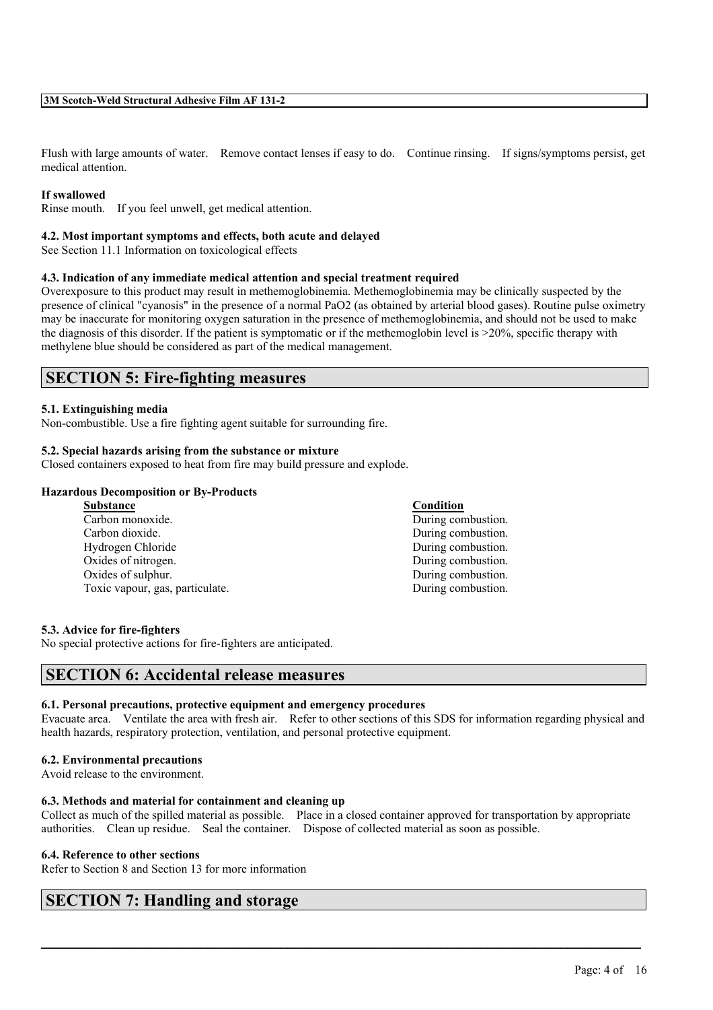Flush with large amounts of water. Remove contact lenses if easy to do. Continue rinsing. If signs/symptoms persist, get medical attention.

### **If swallowed**

Rinse mouth. If you feel unwell, get medical attention.

#### **4.2. Most important symptoms and effects, both acute and delayed**

See Section 11.1 Information on toxicological effects

#### **4.3. Indication of any immediate medical attention and special treatment required**

Overexposure to this product may result in methemoglobinemia. Methemoglobinemia may be clinically suspected by the presence of clinical "cyanosis" in the presence of a normal PaO2 (as obtained by arterial blood gases). Routine pulse oximetry may be inaccurate for monitoring oxygen saturation in the presence of methemoglobinemia, and should not be used to make the diagnosis of this disorder. If the patient is symptomatic or if the methemoglobin level is  $>20\%$ , specific therapy with methylene blue should be considered as part of the medical management.

# **SECTION 5: Fire-fighting measures**

#### **5.1. Extinguishing media**

Non-combustible. Use a fire fighting agent suitable for surrounding fire.

#### **5.2. Special hazards arising from the substance or mixture**

Closed containers exposed to heat from fire may build pressure and explode.

### **Hazardous Decomposition or By-Products**

| <b>Substance</b>                | Condition          |
|---------------------------------|--------------------|
| Carbon monoxide.                | During combustion. |
| Carbon dioxide.                 | During combustion. |
| Hydrogen Chloride               | During combustion. |
| Oxides of nitrogen.             | During combustion. |
| Oxides of sulphur.              | During combustion. |
| Toxic vapour, gas, particulate. | During combustion. |
|                                 |                    |

#### **5.3. Advice for fire-fighters**

No special protective actions for fire-fighters are anticipated.

# **SECTION 6: Accidental release measures**

# **6.1. Personal precautions, protective equipment and emergency procedures**

Evacuate area. Ventilate the area with fresh air. Refer to other sections of this SDS for information regarding physical and health hazards, respiratory protection, ventilation, and personal protective equipment.

### **6.2. Environmental precautions**

Avoid release to the environment.

#### **6.3. Methods and material for containment and cleaning up**

Collect as much of the spilled material as possible. Place in a closed container approved for transportation by appropriate authorities. Clean up residue. Seal the container. Dispose of collected material as soon as possible.

 $\mathcal{L}_\mathcal{L} = \mathcal{L}_\mathcal{L} = \mathcal{L}_\mathcal{L} = \mathcal{L}_\mathcal{L} = \mathcal{L}_\mathcal{L} = \mathcal{L}_\mathcal{L} = \mathcal{L}_\mathcal{L} = \mathcal{L}_\mathcal{L} = \mathcal{L}_\mathcal{L} = \mathcal{L}_\mathcal{L} = \mathcal{L}_\mathcal{L} = \mathcal{L}_\mathcal{L} = \mathcal{L}_\mathcal{L} = \mathcal{L}_\mathcal{L} = \mathcal{L}_\mathcal{L} = \mathcal{L}_\mathcal{L} = \mathcal{L}_\mathcal{L}$ 

#### **6.4. Reference to other sections**

Refer to Section 8 and Section 13 for more information

# **SECTION 7: Handling and storage**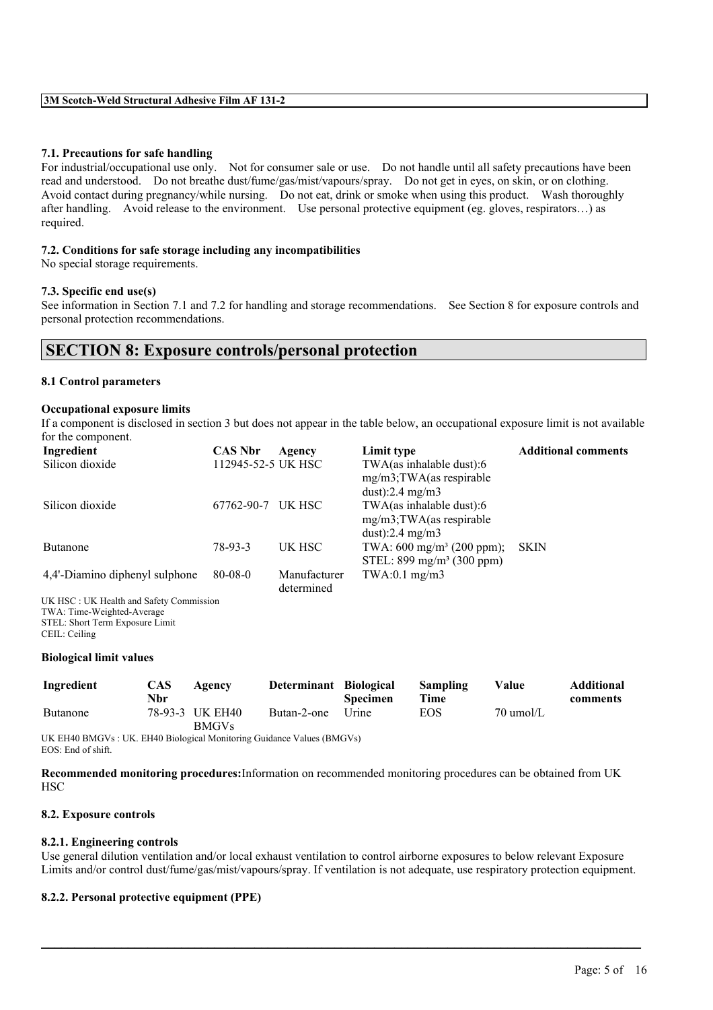### **7.1. Precautions for safe handling**

For industrial/occupational use only. Not for consumer sale or use. Do not handle until all safety precautions have been read and understood. Do not breathe dust/fume/gas/mist/vapours/spray. Do not get in eyes, on skin, or on clothing. Avoid contact during pregnancy/while nursing. Do not eat, drink or smoke when using this product. Wash thoroughly after handling. Avoid release to the environment. Use personal protective equipment (eg. gloves, respirators…) as required.

### **7.2. Conditions for safe storage including any incompatibilities**

No special storage requirements.

#### **7.3. Specific end use(s)**

See information in Section 7.1 and 7.2 for handling and storage recommendations. See Section 8 for exposure controls and personal protection recommendations.

# **SECTION 8: Exposure controls/personal protection**

#### **8.1 Control parameters**

#### **Occupational exposure limits**

If a component is disclosed in section 3 but does not appear in the table below, an occupational exposure limit is not available for the component.

| Ingredient                                                                                        | <b>CAS Nbr</b>     | Agency                     | Limit type                                                                                | <b>Additional comments</b> |
|---------------------------------------------------------------------------------------------------|--------------------|----------------------------|-------------------------------------------------------------------------------------------|----------------------------|
| Silicon dioxide                                                                                   | 112945-52-5 UK HSC |                            | $TWA$ (as inhalable dust):6<br>$mg/m3$ ; TWA(as respirable                                |                            |
|                                                                                                   |                    |                            | dust): $2.4 \text{ mg/m}$ 3                                                               |                            |
| Silicon dioxide                                                                                   | 67762-90-7         | UK HSC                     | $TWA$ (as inhalable dust):6<br>$mg/m3$ ; TWA(as respirable<br>dust): $2.4 \text{ mg/m}$ 3 |                            |
| Butanone                                                                                          | 78-93-3            | UK HSC                     | TWA: $600 \text{ mg/m}^3$ (200 ppm);<br>STEL: $899 \text{ mg/m}^3$ (300 ppm)              | <b>SKIN</b>                |
| 4,4'-Diamino diphenyl sulphone                                                                    | $80 - 08 - 0$      | Manufacturer<br>determined | $TWA:0.1$ mg/m3                                                                           |                            |
| UK HSC: UK Health and Safety Commission<br>$TWA \cdot Time \cdot W\alpha$ obtacle $\Delta$ versoe |                    |                            |                                                                                           |                            |

TWA: Time-Weighted-Average STEL: Short Term Exposure Limit

#### **Biological limit values**

| Ingredient | <b>CAS</b><br>Nbr | Agency                          | Determinant Biological | <b>Specimen</b> | Sampling<br>Time | Value     | <b>Additional</b><br>comments |
|------------|-------------------|---------------------------------|------------------------|-----------------|------------------|-----------|-------------------------------|
| Butanone   |                   | 78-93-3 UK EH40<br><b>BMGVs</b> | Butan-2-one            | Urine           | EOS              | 70 umol/L |                               |

UK EH40 BMGVs : UK. EH40 Biological Monitoring Guidance Values (BMGVs) EOS: End of shift.

**Recommended monitoring procedures:**Information on recommended monitoring procedures can be obtained from UK **HSC** 

#### **8.2. Exposure controls**

#### **8.2.1. Engineering controls**

Use general dilution ventilation and/or local exhaust ventilation to control airborne exposures to below relevant Exposure Limits and/or control dust/fume/gas/mist/vapours/spray. If ventilation is not adequate, use respiratory protection equipment.

 $\mathcal{L}_\mathcal{L} = \mathcal{L}_\mathcal{L} = \mathcal{L}_\mathcal{L} = \mathcal{L}_\mathcal{L} = \mathcal{L}_\mathcal{L} = \mathcal{L}_\mathcal{L} = \mathcal{L}_\mathcal{L} = \mathcal{L}_\mathcal{L} = \mathcal{L}_\mathcal{L} = \mathcal{L}_\mathcal{L} = \mathcal{L}_\mathcal{L} = \mathcal{L}_\mathcal{L} = \mathcal{L}_\mathcal{L} = \mathcal{L}_\mathcal{L} = \mathcal{L}_\mathcal{L} = \mathcal{L}_\mathcal{L} = \mathcal{L}_\mathcal{L}$ 

## **8.2.2. Personal protective equipment (PPE)**

CEIL: Ceiling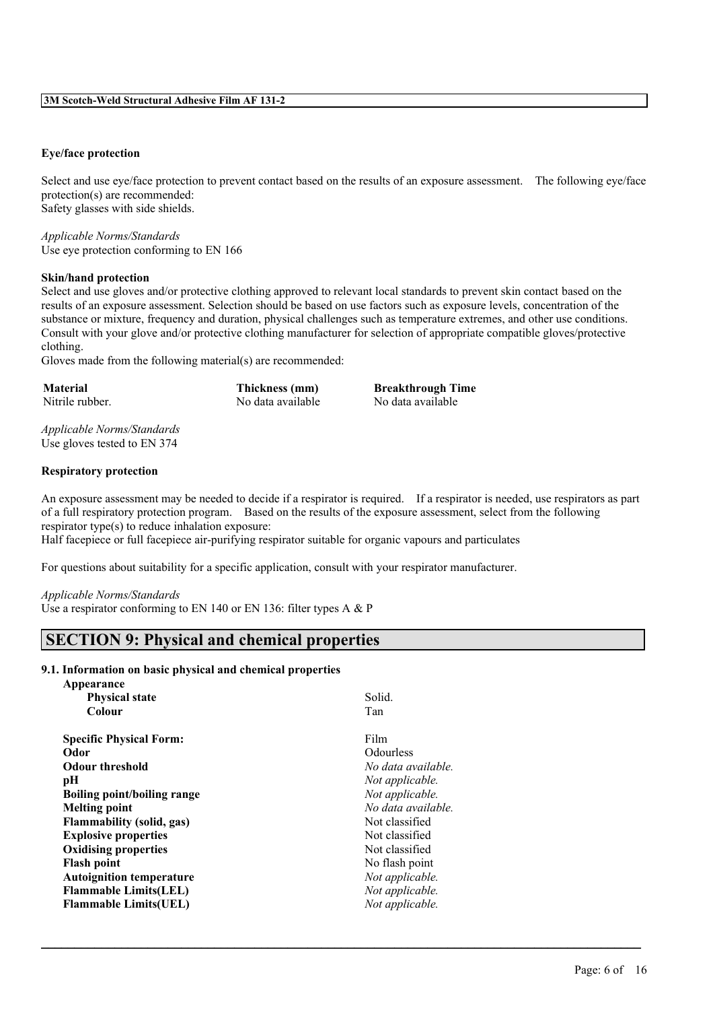### **Eye/face protection**

Select and use eye/face protection to prevent contact based on the results of an exposure assessment. The following eye/face protection(s) are recommended: Safety glasses with side shields.

*Applicable Norms/Standards* Use eye protection conforming to EN 166

#### **Skin/hand protection**

Select and use gloves and/or protective clothing approved to relevant local standards to prevent skin contact based on the results of an exposure assessment. Selection should be based on use factors such as exposure levels, concentration of the substance or mixture, frequency and duration, physical challenges such as temperature extremes, and other use conditions. Consult with your glove and/or protective clothing manufacturer for selection of appropriate compatible gloves/protective clothing.

Gloves made from the following material(s) are recommended:

| <b>Material</b> | <b>Thickness</b> ( |
|-----------------|--------------------|
| Nitrile rubber. | No data ava        |

**Material Thickness (mm) Breakthrough Time** ilable No data available

*Applicable Norms/Standards* Use gloves tested to EN 374

#### **Respiratory protection**

An exposure assessment may be needed to decide if a respirator is required. If a respirator is needed, use respirators as part of a full respiratory protection program. Based on the results of the exposure assessment, select from the following respirator type(s) to reduce inhalation exposure:

 $\mathcal{L}_\mathcal{L} = \mathcal{L}_\mathcal{L} = \mathcal{L}_\mathcal{L} = \mathcal{L}_\mathcal{L} = \mathcal{L}_\mathcal{L} = \mathcal{L}_\mathcal{L} = \mathcal{L}_\mathcal{L} = \mathcal{L}_\mathcal{L} = \mathcal{L}_\mathcal{L} = \mathcal{L}_\mathcal{L} = \mathcal{L}_\mathcal{L} = \mathcal{L}_\mathcal{L} = \mathcal{L}_\mathcal{L} = \mathcal{L}_\mathcal{L} = \mathcal{L}_\mathcal{L} = \mathcal{L}_\mathcal{L} = \mathcal{L}_\mathcal{L}$ 

Half facepiece or full facepiece air-purifying respirator suitable for organic vapours and particulates

For questions about suitability for a specific application, consult with your respirator manufacturer.

#### *Applicable Norms/Standards*

**Appearance**

Use a respirator conforming to EN 140 or EN 136: filter types A & P

# **SECTION 9: Physical and chemical properties**

#### **9.1. Information on basic physical and chemical properties**

| Solid.             |
|--------------------|
| Tan                |
|                    |
| Film               |
| <b>Odourless</b>   |
| No data available. |
| Not applicable.    |
| Not applicable.    |
| No data available. |
| Not classified     |
| Not classified     |
| Not classified     |
| No flash point     |
| Not applicable.    |
| Not applicable.    |
| Not applicable.    |
|                    |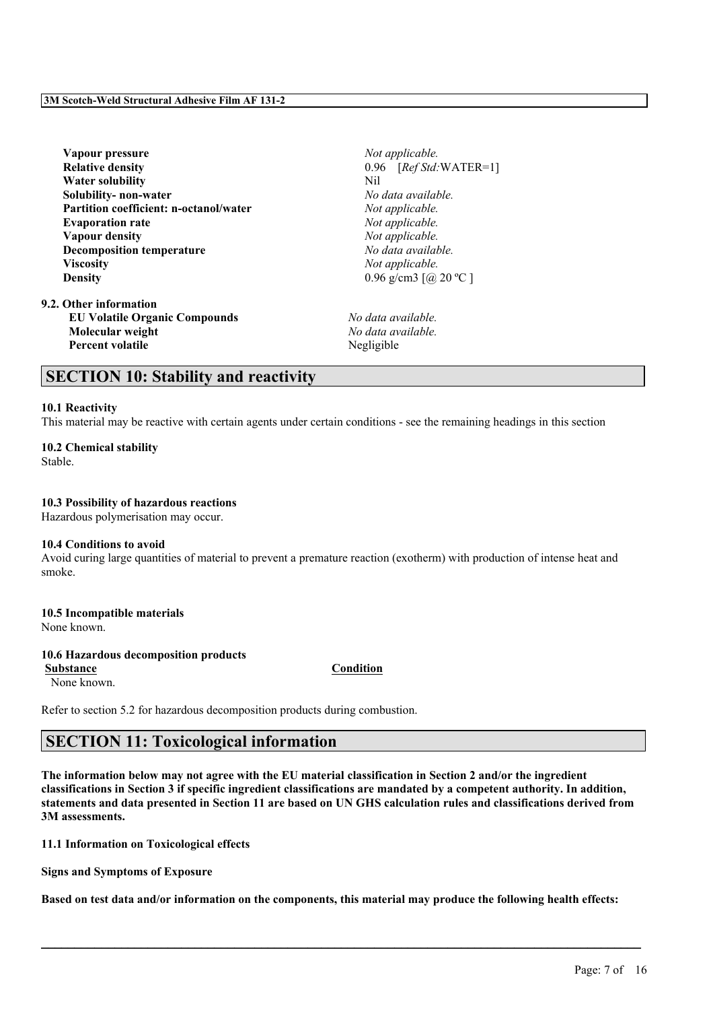**Vapour pressure** *Not applicable.* **Relative density** 0.96 [*Ref Std:*WATER=1] **Water solubility** Nil **Solubility- non-water** *No data available.* **Partition coefficient: n-octanol/water** *Not applicable.* **Evaporation rate** *Not applicable.* **Vapour density** *Not applicable.* **Decomposition temperature** *No data available.* **Viscosity** *Not applicable.* **Density** 0.96 g/cm3 [@ 20 °C ]

**9.2. Other information EU Volatile Organic Compounds** *No data available.* **Molecular weight** *No data available.* **Percent volatile** Negligible

# **SECTION 10: Stability and reactivity**

### **10.1 Reactivity**

This material may be reactive with certain agents under certain conditions - see the remaining headings in this section

# **10.2 Chemical stability**

Stable.

### **10.3 Possibility of hazardous reactions**

Hazardous polymerisation may occur.

#### **10.4 Conditions to avoid**

Avoid curing large quantities of material to prevent a premature reaction (exotherm) with production of intense heat and smoke.

# **10.5 Incompatible materials**

None known.

### **10.6 Hazardous decomposition products**

None known.

Refer to section 5.2 for hazardous decomposition products during combustion.

# **SECTION 11: Toxicological information**

The information below may not agree with the EU material classification in Section 2 and/or the ingredient classifications in Section 3 if specific ingredient classifications are mandated by a competent authority. In addition, statements and data presented in Section 11 are based on UN GHS calculation rules and classifications derived from **3M assessments.**

### **11.1 Information on Toxicological effects**

**Signs and Symptoms of Exposure**

Based on test data and/or information on the components, this material may produce the following health effects:

 $\mathcal{L}_\mathcal{L} = \mathcal{L}_\mathcal{L} = \mathcal{L}_\mathcal{L} = \mathcal{L}_\mathcal{L} = \mathcal{L}_\mathcal{L} = \mathcal{L}_\mathcal{L} = \mathcal{L}_\mathcal{L} = \mathcal{L}_\mathcal{L} = \mathcal{L}_\mathcal{L} = \mathcal{L}_\mathcal{L} = \mathcal{L}_\mathcal{L} = \mathcal{L}_\mathcal{L} = \mathcal{L}_\mathcal{L} = \mathcal{L}_\mathcal{L} = \mathcal{L}_\mathcal{L} = \mathcal{L}_\mathcal{L} = \mathcal{L}_\mathcal{L}$ 

Page: 7 of 16

**Substance Condition**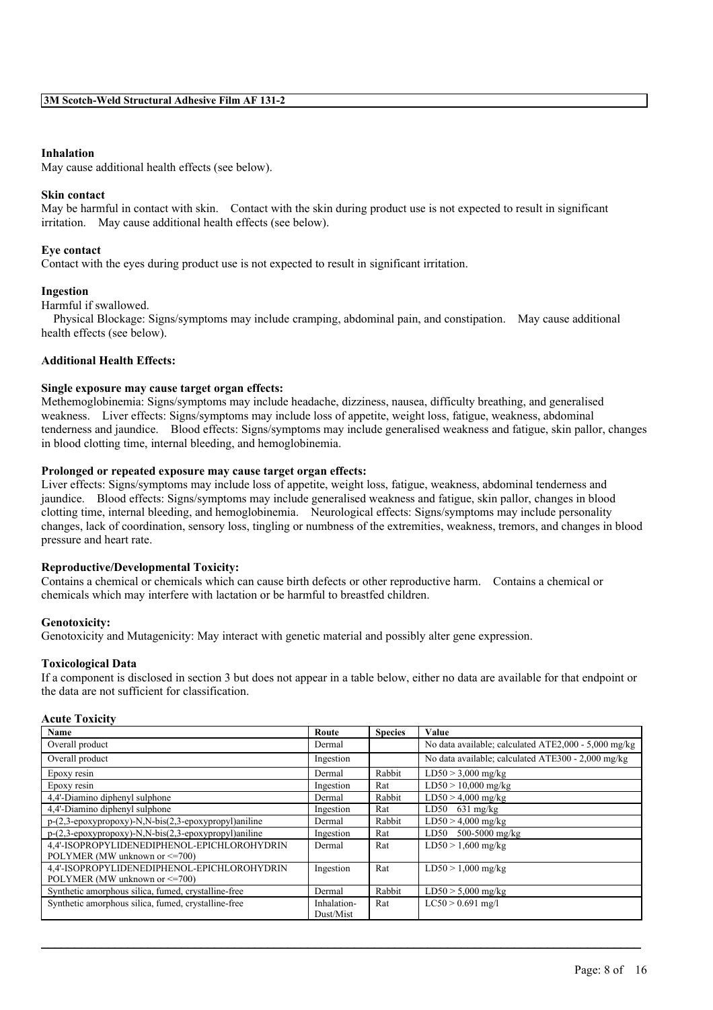#### **Inhalation**

May cause additional health effects (see below).

#### **Skin contact**

May be harmful in contact with skin. Contact with the skin during product use is not expected to result in significant irritation. May cause additional health effects (see below).

#### **Eye contact**

Contact with the eyes during product use is not expected to result in significant irritation.

#### **Ingestion**

#### Harmful if swallowed.

Physical Blockage: Signs/symptoms may include cramping, abdominal pain, and constipation. May cause additional health effects (see below).

### **Additional Health Effects:**

#### **Single exposure may cause target organ effects:**

Methemoglobinemia: Signs/symptoms may include headache, dizziness, nausea, difficulty breathing, and generalised weakness. Liver effects: Signs/symptoms may include loss of appetite, weight loss, fatigue, weakness, abdominal tenderness and jaundice. Blood effects: Signs/symptoms may include generalised weakness and fatigue, skin pallor, changes in blood clotting time, internal bleeding, and hemoglobinemia.

#### **Prolonged or repeated exposure may cause target organ effects:**

Liver effects: Signs/symptoms may include loss of appetite, weight loss, fatigue, weakness, abdominal tenderness and jaundice. Blood effects: Signs/symptoms may include generalised weakness and fatigue, skin pallor, changes in blood clotting time, internal bleeding, and hemoglobinemia. Neurological effects: Signs/symptoms may include personality changes, lack of coordination, sensory loss, tingling or numbness of the extremities, weakness, tremors, and changes in blood pressure and heart rate.

#### **Reproductive/Developmental Toxicity:**

Contains a chemical or chemicals which can cause birth defects or other reproductive harm. Contains a chemical or chemicals which may interfere with lactation or be harmful to breastfed children.

#### **Genotoxicity:**

Genotoxicity and Mutagenicity: May interact with genetic material and possibly alter gene expression.

#### **Toxicological Data**

If a component is disclosed in section 3 but does not appear in a table below, either no data are available for that endpoint or the data are not sufficient for classification.

| Acute Toxicitv |
|----------------|
|                |

| Name                                                                                  | Route       | <b>Species</b> | <b>Value</b>                                         |
|---------------------------------------------------------------------------------------|-------------|----------------|------------------------------------------------------|
| Overall product                                                                       | Dermal      |                | No data available; calculated ATE2,000 - 5,000 mg/kg |
| Overall product                                                                       | Ingestion   |                | No data available; calculated ATE300 - 2,000 mg/kg   |
| Epoxy resin                                                                           | Dermal      | Rabbit         | $LD50 > 3,000$ mg/kg                                 |
| Epoxy resin                                                                           | Ingestion   | Rat            | $LD50 > 10,000$ mg/kg                                |
| 4,4'-Diamino diphenyl sulphone                                                        | Dermal      | Rabbit         | $LD50 > 4,000$ mg/kg                                 |
| 4,4'-Diamino diphenyl sulphone                                                        | Ingestion   | Rat            | $LD50$ 631 mg/kg                                     |
| $p-(2,3-\epsilon p\alpha x\gamma p\gamma p\alpha y)$ -N,N-bis(2,3-epoxypropyl)aniline | Dermal      | Rabbit         | $LD50 > 4,000$ mg/kg                                 |
| p-(2,3-epoxypropoxy)-N,N-bis(2,3-epoxypropyl)aniline                                  | Ingestion   | Rat            | 500-5000 mg/kg<br>LD50                               |
| 4.4'-ISOPROPYLIDENEDIPHENOL-EPICHLOROHYDRIN                                           | Dermal      | Rat            | $LD50 > 1,600$ mg/kg                                 |
| POLYMER (MW unknown or $\leq$ =700)                                                   |             |                |                                                      |
| 4.4'-ISOPROPYLIDENEDIPHENOL-EPICHLOROHYDRIN                                           | Ingestion   | Rat            | $LD50 > 1,000$ mg/kg                                 |
| POLYMER (MW unknown or <= 700)                                                        |             |                |                                                      |
| Synthetic amorphous silica, fumed, crystalline-free                                   | Dermal      | Rabbit         | $LD50 > 5,000$ mg/kg                                 |
| Synthetic amorphous silica, fumed, crystalline-free                                   | Inhalation- | Rat            | $LC50 > 0.691$ mg/l                                  |
|                                                                                       | Dust/Mist   |                |                                                      |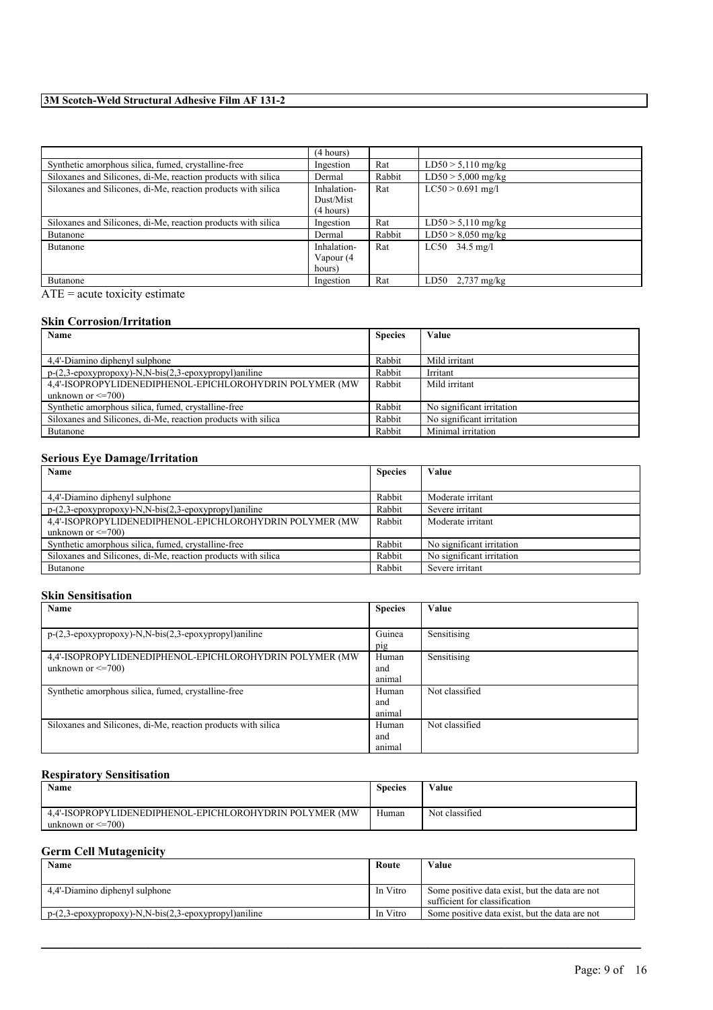|                                                               | (4 hours)   |        |                      |
|---------------------------------------------------------------|-------------|--------|----------------------|
| Synthetic amorphous silica, fumed, crystalline-free           | Ingestion   | Rat    | $LD50 > 5,110$ mg/kg |
| Siloxanes and Silicones, di-Me, reaction products with silica | Dermal      | Rabbit | $LD50 > 5,000$ mg/kg |
| Siloxanes and Silicones, di-Me, reaction products with silica | Inhalation- | Rat    | $LC50 > 0.691$ mg/l  |
|                                                               | Dust/Mist   |        |                      |
|                                                               | (4 hours)   |        |                      |
| Siloxanes and Silicones, di-Me, reaction products with silica | Ingestion   | Rat    | $LD50 > 5,110$ mg/kg |
| Butanone                                                      | Dermal      | Rabbit | $LD50 > 8,050$ mg/kg |
| Butanone                                                      | Inhalation- | Rat    | $LC50$ 34.5 mg/l     |
|                                                               | Vapour (4   |        |                      |
|                                                               | hours)      |        |                      |
| Butanone                                                      | Ingestion   | Rat    | $LD50$ 2,737 mg/kg   |

 $\overline{ATE}$  = acute toxicity estimate

### **Skin Corrosion/Irritation**

| Name                                                                                        | <b>Species</b> | Value                     |
|---------------------------------------------------------------------------------------------|----------------|---------------------------|
|                                                                                             |                |                           |
| 4.4'-Diamino diphenyl sulphone                                                              | Rabbit         | Mild irritant             |
| $p-(2,3-\epsilon p\alpha x\gamma p\gamma p\alpha x\gamma)$ -N,N-bis(2,3-epoxypropyl)aniline | Rabbit         | Irritant                  |
| 4.4'-ISOPROPYLIDENEDIPHENOL-EPICHLOROHYDRIN POLYMER (MW)                                    | Rabbit         | Mild irritant             |
| unknown or $\leq$ =700)                                                                     |                |                           |
| Synthetic amorphous silica, fumed, crystalline-free                                         | Rabbit         | No significant irritation |
| Siloxanes and Silicones, di-Me, reaction products with silica                               | Rabbit         | No significant irritation |
| Butanone                                                                                    | Rabbit         | Minimal irritation        |

# **Serious Eye Damage/Irritation**

| Name<br><b>Species</b>                                                                      |        | Value                     |
|---------------------------------------------------------------------------------------------|--------|---------------------------|
|                                                                                             |        |                           |
| 4.4'-Diamino diphenyl sulphone                                                              | Rabbit | Moderate irritant         |
| $p-(2,3-\epsilon p\alpha x\gamma p\gamma p\alpha x\gamma)$ -N,N-bis(2,3-epoxypropyl)aniline | Rabbit | Severe irritant           |
| 4,4'-ISOPROPYLIDENEDIPHENOL-EPICHLOROHYDRIN POLYMER (MW                                     | Rabbit | Moderate irritant         |
| unknown or $\leq$ =700)                                                                     |        |                           |
| Synthetic amorphous silica, fumed, crystalline-free                                         | Rabbit | No significant irritation |
| Siloxanes and Silicones, di-Me, reaction products with silica                               | Rabbit | No significant irritation |
| Butanone                                                                                    | Rabbit | Severe irritant           |

# **Skin Sensitisation**

| Name                                                                      | <b>Species</b> | Value          |
|---------------------------------------------------------------------------|----------------|----------------|
|                                                                           |                |                |
| $p-(2,3-\epsilon p\alpha x)p\alpha y$ - N, N-bis(2,3-epoxypropyl) and ine | Guinea         | Sensitising    |
|                                                                           | pig            |                |
| 4.4'-ISOPROPYLIDENEDIPHENOL-EPICHLOROHYDRIN POLYMER (MW)                  | Human          | Sensitising    |
| unknown or $\leq$ =700)                                                   | and            |                |
|                                                                           | animal         |                |
| Synthetic amorphous silica, fumed, crystalline-free                       | Human          | Not classified |
|                                                                           | and            |                |
|                                                                           | animal         |                |
| Siloxanes and Silicones, di-Me, reaction products with silica             | Human          | Not classified |
|                                                                           | and            |                |
|                                                                           | animal         |                |

### **Respiratory Sensitisation**

| Name                                                                               | <b>Species</b> | Value          |
|------------------------------------------------------------------------------------|----------------|----------------|
| 4.4'-ISOPROPYLIDENEDIPHENOL-EPICHLOROHYDRIN POLYMER (MW<br>unknown or $\leq$ =700) | Human          | Not classified |

# **Germ Cell Mutagenicity**

| Name                                                                                                                     | Route    | Value                                          |
|--------------------------------------------------------------------------------------------------------------------------|----------|------------------------------------------------|
|                                                                                                                          |          |                                                |
| 4.4'-Diamino diphenyl sulphone                                                                                           | In Vitro | Some positive data exist, but the data are not |
|                                                                                                                          |          | sufficient for classification                  |
| $p-(2,3-\epsilon p\alpha x\gamma p\gamma p\alpha y)$ -N,N-bis $(2,3-\epsilon p\alpha x\gamma p\gamma p\gamma p)$ aniline | In Vitro | Some positive data exist, but the data are not |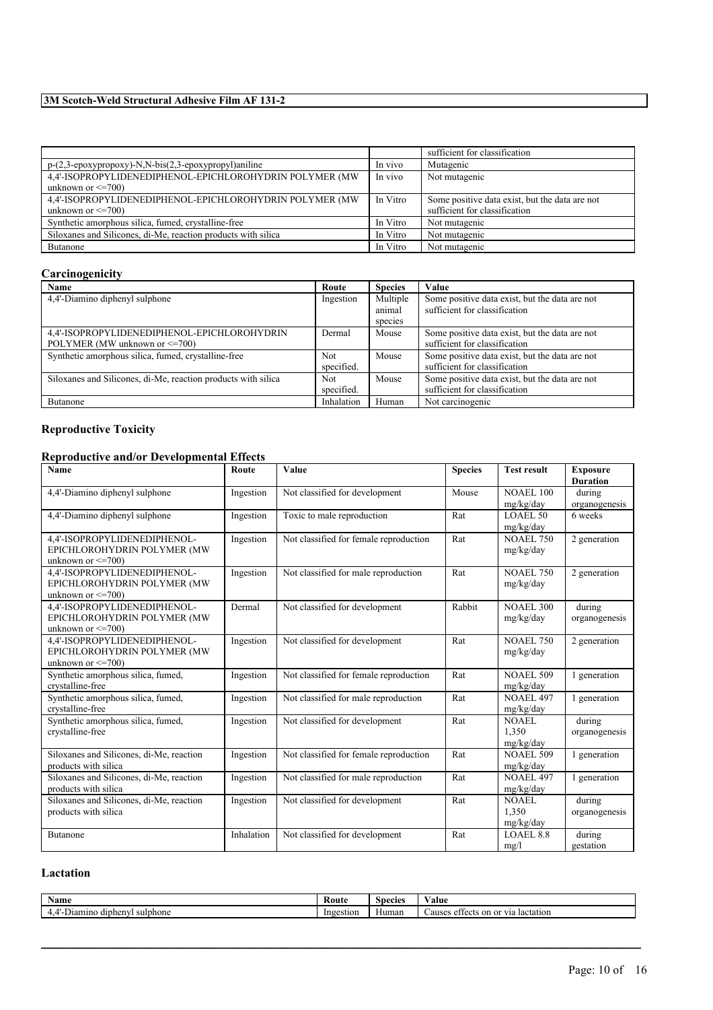|                                                               |          | sufficient for classification                  |
|---------------------------------------------------------------|----------|------------------------------------------------|
| p-(2,3-epoxypropoxy)-N,N-bis(2,3-epoxypropyl)aniline          | In vivo  | Mutagenic                                      |
| 4.4'-ISOPROPYLIDENEDIPHENOL-EPICHLOROHYDRIN POLYMER (MW)      | In vivo  | Not mutagenic                                  |
| unknown or $\leq$ =700)                                       |          |                                                |
| 4.4'-ISOPROPYLIDENEDIPHENOL-EPICHLOROHYDRIN POLYMER (MW       | In Vitro | Some positive data exist, but the data are not |
| unknown or $\leq$ =700)                                       |          | sufficient for classification                  |
| Synthetic amorphous silica, fumed, crystalline-free           | In Vitro | Not mutagenic                                  |
| Siloxanes and Silicones, di-Me, reaction products with silica | In Vitro | Not mutagenic                                  |
| <b>Butanone</b>                                               | In Vitro | Not mutagenic                                  |

# **Carcinogenicity**

| Name                                                          | Route      | <b>Species</b> | Value                                          |
|---------------------------------------------------------------|------------|----------------|------------------------------------------------|
| 4,4'-Diamino diphenyl sulphone                                | Ingestion  | Multiple       | Some positive data exist, but the data are not |
|                                                               |            | animal         | sufficient for classification                  |
|                                                               |            | species        |                                                |
| 4,4'-ISOPROPYLIDENEDIPHENOL-EPICHLOROHYDRIN                   | Dermal     | Mouse          | Some positive data exist, but the data are not |
| POLYMER (MW unknown or $\leq$ =700)                           |            |                | sufficient for classification                  |
| Synthetic amorphous silica, fumed, crystalline-free           | <b>Not</b> | Mouse          | Some positive data exist, but the data are not |
|                                                               | specified. |                | sufficient for classification                  |
| Siloxanes and Silicones, di-Me, reaction products with silica | Not.       | Mouse          | Some positive data exist, but the data are not |
|                                                               | specified. |                | sufficient for classification                  |
| Butanone                                                      | Inhalation | Human          | Not carcinogenic                               |

# **Reproductive Toxicity**

# **Reproductive and/or Developmental Effects**

| Name                                                        | Route      | <b>Value</b>                           | <b>Species</b> | <b>Test result</b> | <b>Exposure</b> |
|-------------------------------------------------------------|------------|----------------------------------------|----------------|--------------------|-----------------|
|                                                             |            |                                        |                |                    | <b>Duration</b> |
| 4,4'-Diamino diphenyl sulphone                              | Ingestion  | Not classified for development         | Mouse          | <b>NOAEL 100</b>   | during          |
|                                                             |            |                                        |                | mg/kg/day          | organogenesis   |
| 4,4'-Diamino diphenyl sulphone                              | Ingestion  | Toxic to male reproduction             | Rat            | <b>LOAEL 50</b>    | 6 weeks         |
|                                                             |            |                                        |                | mg/kg/day          |                 |
| 4,4'-ISOPROPYLIDENEDIPHENOL-                                | Ingestion  | Not classified for female reproduction | Rat            | <b>NOAEL 750</b>   | 2 generation    |
| EPICHLOROHYDRIN POLYMER (MW                                 |            |                                        |                | mg/kg/day          |                 |
| unknown or $\leq$ 700)                                      |            |                                        |                |                    |                 |
| 4,4'-ISOPROPYLIDENEDIPHENOL-                                | Ingestion  | Not classified for male reproduction   | Rat            | <b>NOAEL 750</b>   | 2 generation    |
| EPICHLOROHYDRIN POLYMER (MW                                 |            |                                        |                | mg/kg/day          |                 |
| unknown or $\leq$ =700)                                     |            |                                        |                |                    |                 |
| 4.4'-ISOPROPYLIDENEDIPHENOL-                                | Dermal     | Not classified for development         | Rabbit         | <b>NOAEL 300</b>   | during          |
| EPICHLOROHYDRIN POLYMER (MW                                 |            |                                        |                | mg/kg/day          | organogenesis   |
| unknown or $\leq$ 700)                                      |            |                                        |                | <b>NOAEL 750</b>   |                 |
| 4,4'-ISOPROPYLIDENEDIPHENOL-<br>EPICHLOROHYDRIN POLYMER (MW | Ingestion  | Not classified for development         | Rat            |                    | 2 generation    |
| unknown or $\leq$ =700)                                     |            |                                        |                | mg/kg/day          |                 |
| Synthetic amorphous silica, fumed,                          | Ingestion  | Not classified for female reproduction | Rat            | <b>NOAEL 509</b>   | 1 generation    |
| crystalline-free                                            |            |                                        |                | mg/kg/day          |                 |
| Synthetic amorphous silica, fumed,                          | Ingestion  | Not classified for male reproduction   | Rat            | <b>NOAEL 497</b>   | 1 generation    |
| crystalline-free                                            |            |                                        |                | mg/kg/day          |                 |
| Synthetic amorphous silica, fumed,                          | Ingestion  | Not classified for development         | Rat            | NOAEL              | during          |
| crystalline-free                                            |            |                                        |                | 1.350              | organogenesis   |
|                                                             |            |                                        |                | mg/kg/day          |                 |
| Siloxanes and Silicones, di-Me, reaction                    | Ingestion  | Not classified for female reproduction | Rat            | <b>NOAEL 509</b>   | 1 generation    |
| products with silica                                        |            |                                        |                | mg/kg/day          |                 |
| Siloxanes and Silicones, di-Me, reaction                    | Ingestion  | Not classified for male reproduction   | Rat            | <b>NOAEL 497</b>   | 1 generation    |
| products with silica                                        |            |                                        |                | mg/kg/day          |                 |
| Siloxanes and Silicones, di-Me, reaction                    | Ingestion  | Not classified for development         | Rat            | NOAEL              | during          |
| products with silica                                        |            |                                        |                | 1.350              | organogenesis   |
|                                                             |            |                                        |                | mg/kg/day          |                 |
| <b>Butanone</b>                                             | Inhalation | Not classified for development         | Rat            | <b>LOAEL 8.8</b>   | during          |
|                                                             |            |                                        |                | mg/l               | gestation       |

# **Lactation**

| $\sim$<br>Name                                                          | <b>Route</b> | Species | ⁄ alue                                                                                       |
|-------------------------------------------------------------------------|--------------|---------|----------------------------------------------------------------------------------------------|
| <b><i><u>Property</u></i></b><br>dipheny.<br>sulphone ،<br>Diamino<br>. | Ingestion    | Human   | $\alpha$ r 1110<br>auses<br>on<br>lactation<br>$\sim$ $+$<br>effects<br>∙ ia<br>$\mathbf{u}$ |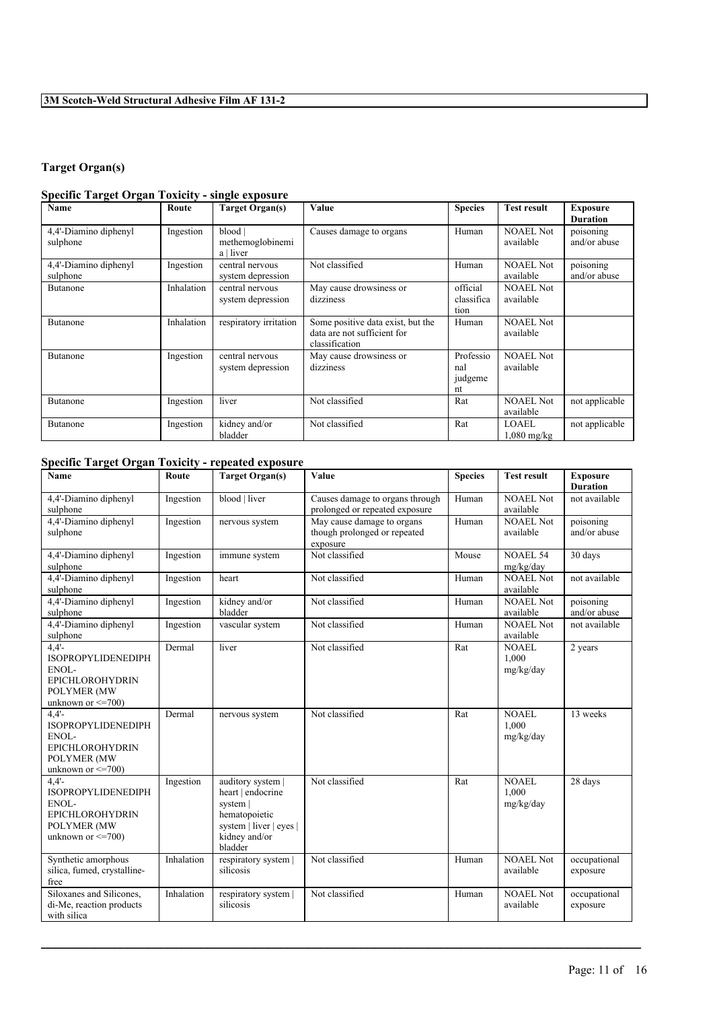# **Target Organ(s)**

# **Specific Target Organ Toxicity - single exposure**

| Name                              | Route      | <b>Target Organ(s)</b>                   | Value                                                                              | <b>Species</b>                    | <b>Test result</b>            | <b>Exposure</b><br><b>Duration</b> |
|-----------------------------------|------------|------------------------------------------|------------------------------------------------------------------------------------|-----------------------------------|-------------------------------|------------------------------------|
| 4,4'-Diamino diphenyl<br>sulphone | Ingestion  | blood  <br>methemoglobinemi<br>a   liver | Causes damage to organs                                                            | Human                             | <b>NOAEL Not</b><br>available | poisoning<br>and/or abuse          |
| 4,4'-Diamino diphenyl<br>sulphone | Ingestion  | central nervous<br>system depression     | Not classified                                                                     | Human                             | <b>NOAEL Not</b><br>available | poisoning<br>and/or abuse          |
| <b>Butanone</b>                   | Inhalation | central nervous<br>system depression     | May cause drowsiness or<br>dizziness                                               | official<br>classifica<br>tion    | <b>NOAEL Not</b><br>available |                                    |
| <b>Butanone</b>                   | Inhalation | respiratory irritation                   | Some positive data exist, but the<br>data are not sufficient for<br>classification | Human                             | <b>NOAEL Not</b><br>available |                                    |
| <b>Butanone</b>                   | Ingestion  | central nervous<br>system depression     | May cause drowsiness or<br>dizziness                                               | Professio<br>nal<br>judgeme<br>nt | <b>NOAEL Not</b><br>available |                                    |
| <b>Butanone</b>                   | Ingestion  | liver                                    | Not classified                                                                     | Rat                               | <b>NOAEL Not</b><br>available | not applicable                     |
| Butanone                          | Ingestion  | kidney and/or<br>bladder                 | Not classified                                                                     | Rat                               | <b>LOAEL</b><br>$1,080$ mg/kg | not applicable                     |

# **Specific Target Organ Toxicity - repeated exposure**

| <b>Name</b>                                                                                                               | Route      | <b>Target Organ(s)</b>                                                                                                     | <b>Value</b>                                                           | <b>Species</b> | <b>Test result</b>                 | <b>Exposure</b><br><b>Duration</b> |
|---------------------------------------------------------------------------------------------------------------------------|------------|----------------------------------------------------------------------------------------------------------------------------|------------------------------------------------------------------------|----------------|------------------------------------|------------------------------------|
| 4,4'-Diamino diphenyl<br>sulphone                                                                                         | Ingestion  | blood   liver                                                                                                              | Causes damage to organs through<br>prolonged or repeated exposure      | Human          | <b>NOAEL Not</b><br>available      | not available                      |
| 4,4'-Diamino diphenyl<br>sulphone                                                                                         | Ingestion  | nervous system                                                                                                             | May cause damage to organs<br>though prolonged or repeated<br>exposure | Human          | <b>NOAEL Not</b><br>available      | poisoning<br>and/or abuse          |
| 4,4'-Diamino diphenyl<br>sulphone                                                                                         | Ingestion  | immune system                                                                                                              | Not classified                                                         | Mouse          | <b>NOAEL 54</b><br>mg/kg/day       | 30 days                            |
| 4,4'-Diamino diphenyl<br>sulphone                                                                                         | Ingestion  | heart                                                                                                                      | Not classified                                                         | Human          | NOAEL Not<br>available             | not available                      |
| 4,4'-Diamino diphenyl<br>sulphone                                                                                         | Ingestion  | kidney and/or<br>bladder                                                                                                   | Not classified                                                         | Human          | <b>NOAEL Not</b><br>available      | poisoning<br>and/or abuse          |
| 4,4'-Diamino diphenyl<br>sulphone                                                                                         | Ingestion  | vascular system                                                                                                            | Not classified                                                         | Human          | <b>NOAEL Not</b><br>available      | not available                      |
| $4.4'$ -<br><b>ISOPROPYLIDENEDIPH</b><br>ENOL-<br><b>EPICHLOROHYDRIN</b><br>POLYMER (MW<br>unknown or $\leq$ =700)        | Dermal     | liver                                                                                                                      | Not classified                                                         | Rat            | <b>NOAEL</b><br>1.000<br>mg/kg/day | 2 years                            |
| $4.4'$ -<br><b>ISOPROPYLIDENEDIPH</b><br>ENOL-<br><b>EPICHLOROHYDRIN</b><br><b>POLYMER (MW</b><br>unknown or $\leq$ =700) | Dermal     | nervous system                                                                                                             | Not classified                                                         | Rat            | <b>NOAEL</b><br>1.000<br>mg/kg/day | 13 weeks                           |
| 4.4'<br><b>ISOPROPYLIDENEDIPH</b><br>ENOL-<br><b>EPICHLOROHYDRIN</b><br>POLYMER (MW<br>unknown or $\leq$ 700)             | Ingestion  | auditory system  <br>heart   endocrine<br>system  <br>hematopoietic<br>system   liver   eyes  <br>kidney and/or<br>bladder | Not classified                                                         | Rat            | NOAEL.<br>1.000<br>mg/kg/day       | 28 days                            |
| Synthetic amorphous<br>silica, fumed, crystalline-<br>free                                                                | Inhalation | respiratory system  <br>silicosis                                                                                          | Not classified                                                         | Human          | <b>NOAEL Not</b><br>available      | occupational<br>exposure           |
| Siloxanes and Silicones,<br>di-Me, reaction products<br>with silica                                                       | Inhalation | respiratory system  <br>silicosis                                                                                          | Not classified                                                         | Human          | <b>NOAEL Not</b><br>available      | occupational<br>exposure           |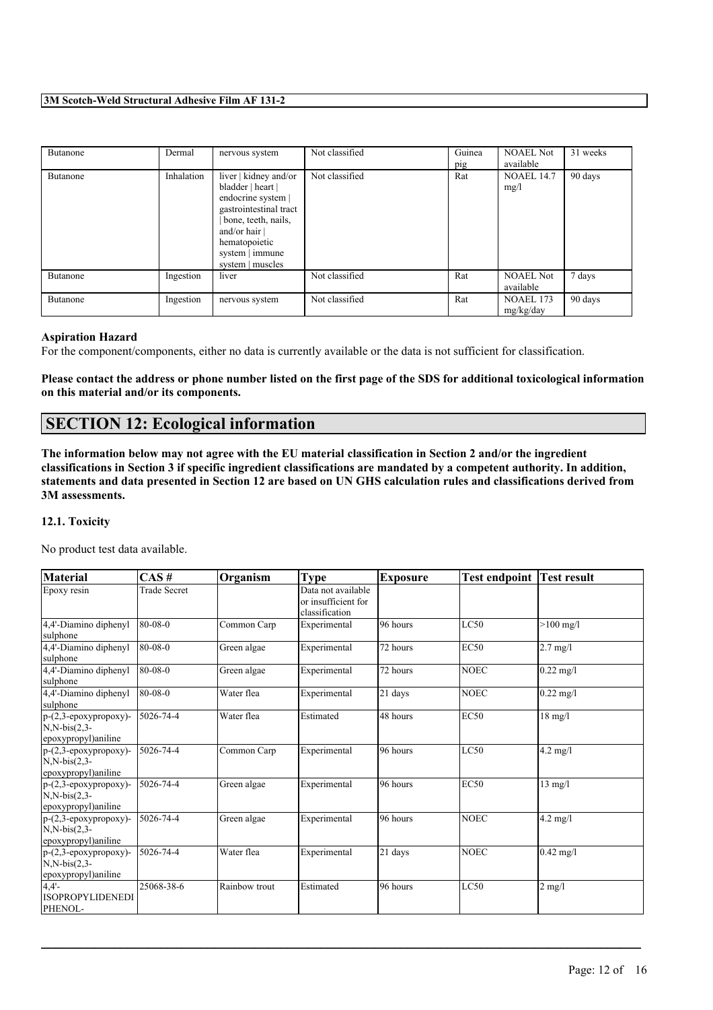| Butanone | Dermal     | nervous system                                                                                                                                                                               | Not classified | Guinea<br>pig | <b>NOAEL Not</b><br>available | 31 weeks |
|----------|------------|----------------------------------------------------------------------------------------------------------------------------------------------------------------------------------------------|----------------|---------------|-------------------------------|----------|
| Butanone | Inhalation | liver   kidney and/or<br>bladder   heart  <br>endocrine system  <br>gastrointestinal tract<br>bone, teeth, nails,<br>and/or hair $ $<br>hematopoietic<br>system   immune<br>system   muscles | Not classified | Rat           | <b>NOAEL 14.7</b><br>mg/l     | 90 days  |
| Butanone | Ingestion  | liver                                                                                                                                                                                        | Not classified | Rat           | <b>NOAEL Not</b><br>available | 7 days   |
| Butanone | Ingestion  | nervous system                                                                                                                                                                               | Not classified | Rat           | <b>NOAEL 173</b><br>mg/kg/day | 90 days  |

### **Aspiration Hazard**

For the component/components, either no data is currently available or the data is not sufficient for classification.

Please contact the address or phone number listed on the first page of the SDS for additional toxicological information **on this material and/or its components.**

# **SECTION 12: Ecological information**

The information below may not agree with the EU material classification in Section 2 and/or the ingredient classifications in Section 3 if specific ingredient classifications are mandated by a competent authority. In addition, statements and data presented in Section 12 are based on UN GHS calculation rules and classifications derived from **3M assessments.**

### **12.1. Toxicity**

No product test data available.

| <b>Material</b>                                                           | CAS#                | Organism      | <b>Type</b>                                                 | <b>Exposure</b> | <b>Test endpoint</b> | <b>Test result</b> |
|---------------------------------------------------------------------------|---------------------|---------------|-------------------------------------------------------------|-----------------|----------------------|--------------------|
| Epoxy resin                                                               | <b>Trade Secret</b> |               | Data not available<br>or insufficient for<br>classification |                 |                      |                    |
| 4,4'-Diamino diphenyl<br>sulphone                                         | 80-08-0             | Common Carp   | Experimental                                                | 96 hours        | LC50                 | $>100$ mg/l        |
| 4,4'-Diamino diphenyl<br>sulphone                                         | $80-08-0$           | Green algae   | Experimental                                                | 72 hours        | <b>EC50</b>          | $2.7$ mg/l         |
| 4,4'-Diamino diphenyl<br>sulphone                                         | $80-08-0$           | Green algae   | Experimental                                                | 72 hours        | <b>NOEC</b>          | $0.22$ mg/l        |
| 4,4'-Diamino diphenyl<br>sulphone                                         | $80-08-0$           | Water flea    | Experimental                                                | 21 days         | <b>NOEC</b>          | $0.22$ mg/l        |
| $p-(2,3-\epsilon poxypropoxy)$ -<br>$N.N-bis(2,3-$<br>epoxypropyl)aniline | $15026 - 74 - 4$    | Water flea    | Estimated                                                   | 48 hours        | <b>EC50</b>          | $18 \text{ mg/l}$  |
| $p-(2,3-\epsilon poxypropoxy)$ -<br>$N,N-bis(2,3-$<br>epoxypropyl)aniline | 5026-74-4           | Common Carp   | Experimental                                                | 96 hours        | LC50                 | $4.2$ mg/l         |
| $p-(2,3-\epsilon poxypropoxy)$ -<br>$N,N-bis(2,3-$<br>epoxypropyl)aniline | 5026-74-4           | Green algae   | Experimental                                                | 96 hours        | <b>EC50</b>          | $13$ mg/l          |
| $p-(2,3-\epsilon poxypropoxy)$ -<br>$N.N-bis(2,3-$<br>epoxypropyl)aniline | 5026-74-4           | Green algae   | Experimental                                                | 96 hours        | <b>NOEC</b>          | $4.2$ mg/l         |
| $p-(2,3-\epsilon poxypropoxy)$ -<br>$N,N-bis(2,3-$<br>epoxypropyl)aniline | 5026-74-4           | Water flea    | Experimental                                                | 21 days         | <b>NOEC</b>          | $0.42$ mg/l        |
| 4.4'<br><b>ISOPROPYLIDENEDI</b><br>PHENOL-                                | 25068-38-6          | Rainbow trout | Estimated                                                   | 96 hours        | LC50                 | $2 \text{ mg/l}$   |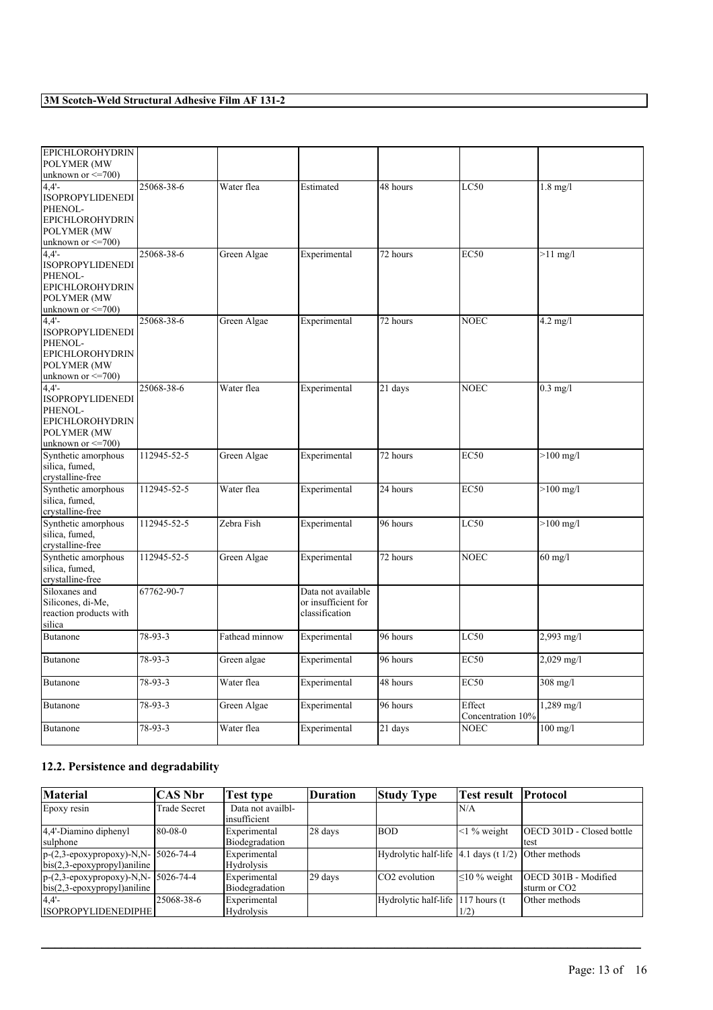| <b>EPICHLOROHYDRIN</b>  |             |                |                     |                      |                   |                    |
|-------------------------|-------------|----------------|---------------------|----------------------|-------------------|--------------------|
| POLYMER (MW             |             |                |                     |                      |                   |                    |
| unknown or $\leq$ =700) |             |                |                     |                      |                   |                    |
| $4.4'$ -                | 25068-38-6  | Water flea     | Estimated           | 48 hours             | LC50              | $1.8$ mg/l         |
| <b>ISOPROPYLIDENEDI</b> |             |                |                     |                      |                   |                    |
| PHENOL-                 |             |                |                     |                      |                   |                    |
| <b>EPICHLOROHYDRIN</b>  |             |                |                     |                      |                   |                    |
| POLYMER (MW             |             |                |                     |                      |                   |                    |
| unknown or $\leq$ =700) |             |                |                     |                      |                   |                    |
| $4.4'$ -                | 25068-38-6  | Green Algae    | Experimental        | 72 hours             | <b>EC50</b>       | $>11$ mg/l         |
| <b>ISOPROPYLIDENEDI</b> |             |                |                     |                      |                   |                    |
| PHENOL-                 |             |                |                     |                      |                   |                    |
| <b>EPICHLOROHYDRIN</b>  |             |                |                     |                      |                   |                    |
| POLYMER (MW             |             |                |                     |                      |                   |                    |
| unknown or $\leq$ =700) |             |                |                     |                      |                   |                    |
| $4,4'-$                 | 25068-38-6  | Green Algae    |                     | 72 hours             | <b>NOEC</b>       | $4.2 \text{ mg/l}$ |
| <b>ISOPROPYLIDENEDI</b> |             |                | Experimental        |                      |                   |                    |
|                         |             |                |                     |                      |                   |                    |
| PHENOL-                 |             |                |                     |                      |                   |                    |
| <b>EPICHLOROHYDRIN</b>  |             |                |                     |                      |                   |                    |
| <b>POLYMER (MW</b>      |             |                |                     |                      |                   |                    |
| unknown or $\leq$ 700)  |             |                |                     |                      |                   |                    |
| 4.4'                    | 25068-38-6  | Water flea     | Experimental        | 21 days              | <b>NOEC</b>       | $0.3$ mg/l         |
| <b>ISOPROPYLIDENEDI</b> |             |                |                     |                      |                   |                    |
| PHENOL-                 |             |                |                     |                      |                   |                    |
| <b>EPICHLOROHYDRIN</b>  |             |                |                     |                      |                   |                    |
| POLYMER (MW             |             |                |                     |                      |                   |                    |
| unknown or $\leq$ 700)  |             |                |                     |                      |                   |                    |
| Synthetic amorphous     | 112945-52-5 | Green Algae    | Experimental        | 72 hours             | <b>EC50</b>       | $>100$ mg/l        |
| silica, fumed,          |             |                |                     |                      |                   |                    |
| crystalline-free        |             |                |                     |                      |                   |                    |
| Synthetic amorphous     | 112945-52-5 | Water flea     | Experimental        | 24 hours             | EC50              | $>100$ mg/l        |
| silica, fumed,          |             |                |                     |                      |                   |                    |
| crystalline-free        |             |                |                     |                      |                   |                    |
| Synthetic amorphous     | 112945-52-5 | Zebra Fish     | Experimental        | 96 hours             | LC50              | $>100$ mg/l        |
| silica, fumed,          |             |                |                     |                      |                   |                    |
| crystalline-free        |             |                |                     |                      |                   |                    |
| Synthetic amorphous     | 112945-52-5 | Green Algae    | Experimental        | 72 hours             | <b>NOEC</b>       | $60$ mg/l          |
| silica, fumed,          |             |                |                     |                      |                   |                    |
| crystalline-free        |             |                |                     |                      |                   |                    |
| Siloxanes and           | 67762-90-7  |                | Data not available  |                      |                   |                    |
| Silicones, di-Me,       |             |                | or insufficient for |                      |                   |                    |
| reaction products with  |             |                | classification      |                      |                   |                    |
| silica                  |             |                |                     |                      |                   |                    |
| Butanone                | 78-93-3     | Fathead minnow | Experimental        | 96 hours             | LC50              | $2,993$ mg/l       |
|                         |             |                |                     |                      |                   |                    |
| <b>Butanone</b>         | 78-93-3     | Green algae    | Experimental        | 96 hours             | <b>EC50</b>       | $2,029$ mg/l       |
|                         |             |                |                     |                      |                   |                    |
|                         |             |                |                     |                      |                   |                    |
| Butanone                | 78-93-3     | Water flea     | Experimental        | 48 hours             | <b>EC50</b>       | $308$ mg/l         |
|                         |             |                |                     |                      |                   |                    |
| <b>Butanone</b>         | 78-93-3     | Green Algae    | Experimental        | 96 hours             | Effect            | 1,289 mg/l         |
|                         |             |                |                     |                      | Concentration 10% |                    |
| <b>Butanone</b>         | 78-93-3     | Water flea     | Experimental        | $21 \overline{days}$ | <b>NOEC</b>       | $100$ mg/l         |
|                         |             |                |                     |                      |                   |                    |

# **12.2. Persistence and degradability**

| Material                                                              | <b>CAS Nbr</b> | <b>Test type</b>                  | Duration | <b>Study Type</b>                           | <b>Test result</b>  | <b>Protocol</b>                          |
|-----------------------------------------------------------------------|----------------|-----------------------------------|----------|---------------------------------------------|---------------------|------------------------------------------|
| Epoxy resin                                                           | Trade Secret   | Data not availbl-<br>insufficient |          |                                             | IN/A                |                                          |
| 4,4'-Diamino diphenyl<br>sulphone                                     | 80-08-0        | Experimental<br>Biodegradation    | 28 days  | <b>BOD</b>                                  | $\leq$ 1% weight    | <b>OECD 301D - Closed bottle</b><br>test |
| p-(2,3-epoxypropoxy)-N,N- 5026-74-4<br>$bis(2,3-epoxypropyl)$ aniline |                | Experimental<br>Hydrolysis        |          | Hydrolytic half-life $ 4.1$ days (t $1/2$ ) |                     | Other methods                            |
| p-(2,3-epoxypropoxy)-N,N- 5026-74-4<br>$bis(2,3-epoxypropyl)$ aniline |                | Experimental<br>Biodegradation    | 29 days  | CO <sub>2</sub> evolution                   | $\leq 10 \%$ weight | OECD 301B - Modified<br>sturm or CO2     |
| 4.4'<br>ISOPROPYLIDENEDIPHE                                           | 25068-38-6     | Experimental<br>Hydrolysis        |          | Hydrolytic half-life 117 hours (t)          | 1/2)                | Other methods                            |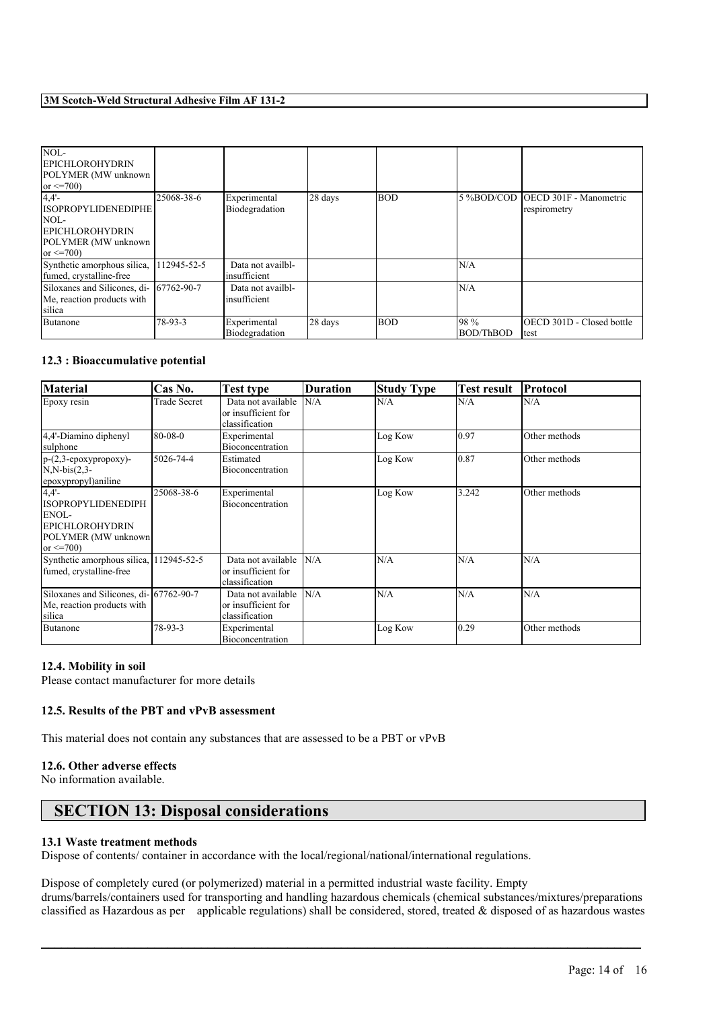| NOL-<br><b>EPICHLOROHYDRIN</b><br>POLYMER (MW unknown<br>or $\leq$ 700)                                      |             |                                   |         |            |                           |                                                   |
|--------------------------------------------------------------------------------------------------------------|-------------|-----------------------------------|---------|------------|---------------------------|---------------------------------------------------|
| 4.4'<br><b>ISOPROPYLIDENEDIPHE</b><br>NOL<br><b>EPICHLOROHYDRIN</b><br>POLYMER (MW unknown<br>or $\leq$ 700) | 25068-38-6  | Experimental<br>Biodegradation    | 28 days | <b>BOD</b> |                           | 5 %BOD/COD OECD 301F - Manometric<br>respirometry |
| Synthetic amorphous silica,<br>fumed, crystalline-free                                                       | 112945-52-5 | Data not availbl-<br>insufficient |         |            | N/A                       |                                                   |
| Siloxanes and Silicones, di- 67762-90-7<br>Me, reaction products with<br>silica                              |             | Data not availbl-<br>insufficient |         |            | N/A                       |                                                   |
| Butanone                                                                                                     | $78-93-3$   | Experimental<br>Biodegradation    | 28 days | <b>BOD</b> | 198 %<br><b>BOD/ThBOD</b> | <b>IOECD 301D - Closed bottle</b><br>test         |

### **12.3 : Bioaccumulative potential**

| <b>Material</b>                                                                                               | Cas No.      | <b>Test type</b>                                            | <b>Duration</b> | <b>Study Type</b> | <b>Test result</b> | Protocol      |
|---------------------------------------------------------------------------------------------------------------|--------------|-------------------------------------------------------------|-----------------|-------------------|--------------------|---------------|
| Epoxy resin                                                                                                   | Trade Secret | Data not available<br>or insufficient for<br>classification | N/A             | N/A               | N/A                | N/A           |
| 4,4'-Diamino diphenyl<br>sulphone                                                                             | 80-08-0      | Experimental<br>Bioconcentration                            |                 | Log Kow           | 10.97              | Other methods |
| $p-(2,3-\epsilon poxypropoxy)$ -<br>$N, N-bis(2,3-$<br>epoxypropyl)aniline                                    | 5026-74-4    | Estimated<br>Bioconcentration                               |                 | Log Kow           | 10.87              | Other methods |
| 4.4'<br><b>ISOPROPYLIDENEDIPH</b><br>ENOL-<br><b>EPICHLOROHYDRIN</b><br>POLYMER (MW unknown<br>or $\leq$ 700) | 25068-38-6   | Experimental<br>Bioconcentration                            |                 | Log Kow           | 3.242              | Other methods |
| Synthetic amorphous silica, 112945-52-5<br>fumed, crystalline-free                                            |              | Data not available<br>or insufficient for<br>classification | N/A             | N/A               | N/A                | N/A           |
| Siloxanes and Silicones, di-167762-90-7<br>Me, reaction products with<br>silica                               |              | Data not available<br>or insufficient for<br>classification | N/A             | N/A               | N/A                | N/A           |
| Butanone                                                                                                      | 78-93-3      | Experimental<br>Bioconcentration                            |                 | Log Kow           | 0.29               | Other methods |

### **12.4. Mobility in soil**

Please contact manufacturer for more details

### **12.5. Results of the PBT and vPvB assessment**

This material does not contain any substances that are assessed to be a PBT or vPvB

#### **12.6. Other adverse effects**

No information available.

# **SECTION 13: Disposal considerations**

#### **13.1 Waste treatment methods**

Dispose of contents/ container in accordance with the local/regional/national/international regulations.

Dispose of completely cured (or polymerized) material in a permitted industrial waste facility. Empty drums/barrels/containers used for transporting and handling hazardous chemicals (chemical substances/mixtures/preparations classified as Hazardous as per applicable regulations) shall be considered, stored, treated & disposed of as hazardous wastes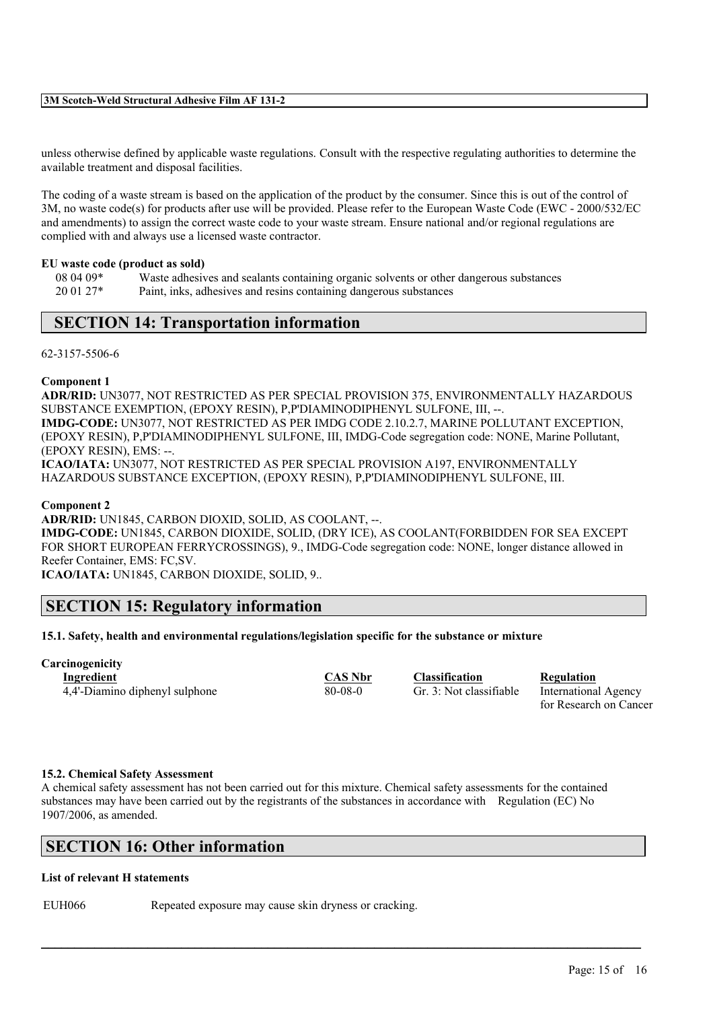unless otherwise defined by applicable waste regulations. Consult with the respective regulating authorities to determine the available treatment and disposal facilities.

The coding of a waste stream is based on the application of the product by the consumer. Since this is out of the control of 3M, no waste code(s) for products after use will be provided. Please refer to the European Waste Code (EWC - 2000/532/EC and amendments) to assign the correct waste code to your waste stream. Ensure national and/or regional regulations are complied with and always use a licensed waste contractor.

#### **EU waste code (product as sold)**

08 04 09\* Waste adhesives and sealants containing organic solvents or other dangerous substances 20 01 27\* Paint, inks, adhesives and resins containing dangerous substances

# **SECTION 14: Transportation information**

#### 62-3157-5506-6

#### **Component 1**

**ADR/RID:** UN3077, NOT RESTRICTED AS PER SPECIAL PROVISION 375, ENVIRONMENTALLY HAZARDOUS SUBSTANCE EXEMPTION, (EPOXY RESIN), P,P'DIAMINODIPHENYL SULFONE, III, --. **IMDG-CODE:** UN3077, NOT RESTRICTED AS PER IMDG CODE 2.10.2.7, MARINE POLLUTANT EXCEPTION, (EPOXY RESIN), P,P'DIAMINODIPHENYL SULFONE, III, IMDG-Code segregation code: NONE, Marine Pollutant, (EPOXY RESIN), EMS: --. **ICAO/IATA:** UN3077, NOT RESTRICTED AS PER SPECIAL PROVISION A197, ENVIRONMENTALLY HAZARDOUS SUBSTANCE EXCEPTION, (EPOXY RESIN), P,P'DIAMINODIPHENYL SULFONE, III.

#### **Component 2**

**ADR/RID:** UN1845, CARBON DIOXID, SOLID, AS COOLANT, --. **IMDG-CODE:** UN1845, CARBON DIOXIDE, SOLID, (DRY ICE), AS COOLANT(FORBIDDEN FOR SEA EXCEPT FOR SHORT EUROPEAN FERRYCROSSINGS), 9., IMDG-Code segregation code: NONE, longer distance allowed in Reefer Container, EMS: FC,SV.

**ICAO/IATA:** UN1845, CARBON DIOXIDE, SOLID, 9..

# **SECTION 15: Regulatory information**

### **15.1. Safety, health and environmental regulations/legislation specific for the substance or mixture**

# **Carcinogenicity**

4,4'-Diamino diphenyl sulphone 80-08-0 Gr. 3: Not classifiable International Agency

**Ingredient CAS Nbr Classification Regulation**

for Research on Cancer

#### **15.2. Chemical Safety Assessment**

A chemical safety assessment has not been carried out for this mixture. Chemical safety assessments for the contained substances may have been carried out by the registrants of the substances in accordance with Regulation (EC) No 1907/2006, as amended.

 $\mathcal{L}_\mathcal{L} = \mathcal{L}_\mathcal{L} = \mathcal{L}_\mathcal{L} = \mathcal{L}_\mathcal{L} = \mathcal{L}_\mathcal{L} = \mathcal{L}_\mathcal{L} = \mathcal{L}_\mathcal{L} = \mathcal{L}_\mathcal{L} = \mathcal{L}_\mathcal{L} = \mathcal{L}_\mathcal{L} = \mathcal{L}_\mathcal{L} = \mathcal{L}_\mathcal{L} = \mathcal{L}_\mathcal{L} = \mathcal{L}_\mathcal{L} = \mathcal{L}_\mathcal{L} = \mathcal{L}_\mathcal{L} = \mathcal{L}_\mathcal{L}$ 

# **SECTION 16: Other information**

#### **List of relevant H statements**

EUH066 Repeated exposure may cause skin dryness or cracking.